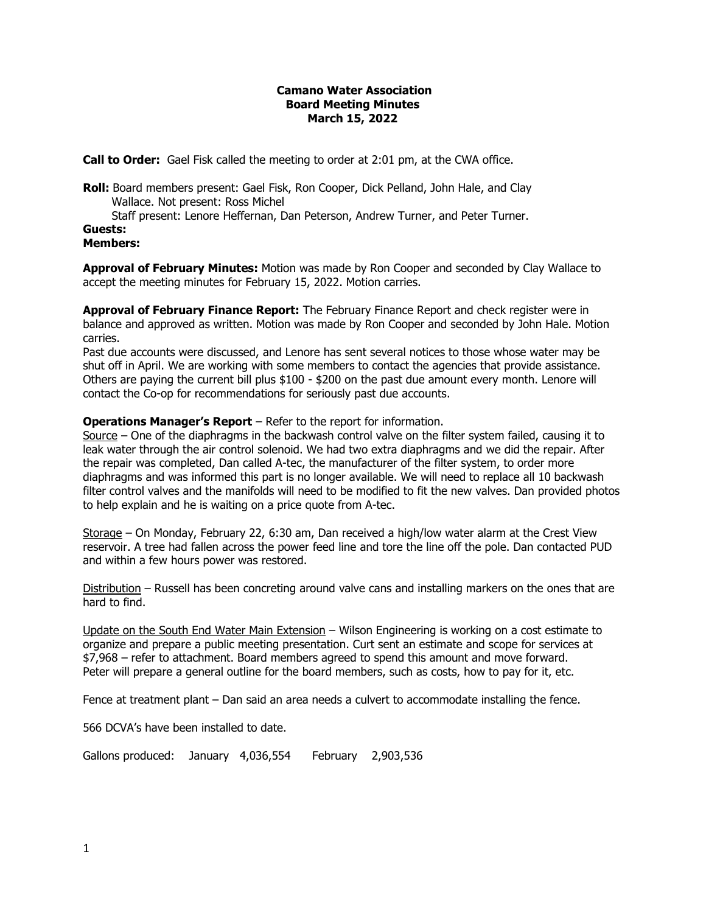## **Camano Water Association Board Meeting Minutes March 15, 2022**

**Call to Order:** Gael Fisk called the meeting to order at 2:01 pm, at the CWA office.

**Roll:** Board members present: Gael Fisk, Ron Cooper, Dick Pelland, John Hale, and Clay Wallace. Not present: Ross Michel

Staff present: Lenore Heffernan, Dan Peterson, Andrew Turner, and Peter Turner.

**Guests: Members:**

**Approval of February Minutes:** Motion was made by Ron Cooper and seconded by Clay Wallace to accept the meeting minutes for February 15, 2022. Motion carries.

**Approval of February Finance Report:** The February Finance Report and check register were in balance and approved as written. Motion was made by Ron Cooper and seconded by John Hale. Motion carries.

Past due accounts were discussed, and Lenore has sent several notices to those whose water may be shut off in April. We are working with some members to contact the agencies that provide assistance. Others are paying the current bill plus \$100 - \$200 on the past due amount every month. Lenore will contact the Co-op for recommendations for seriously past due accounts.

# **Operations Manager's Report** – Refer to the report for information.

Source – One of the diaphragms in the backwash control valve on the filter system failed, causing it to leak water through the air control solenoid. We had two extra diaphragms and we did the repair. After the repair was completed, Dan called A-tec, the manufacturer of the filter system, to order more diaphragms and was informed this part is no longer available. We will need to replace all 10 backwash filter control valves and the manifolds will need to be modified to fit the new valves. Dan provided photos to help explain and he is waiting on a price quote from A-tec.

Storage – On Monday, February 22, 6:30 am, Dan received a high/low water alarm at the Crest View reservoir. A tree had fallen across the power feed line and tore the line off the pole. Dan contacted PUD and within a few hours power was restored.

Distribution – Russell has been concreting around valve cans and installing markers on the ones that are hard to find.

Update on the South End Water Main Extension – Wilson Engineering is working on a cost estimate to organize and prepare a public meeting presentation. Curt sent an estimate and scope for services at \$7,968 – refer to attachment. Board members agreed to spend this amount and move forward. Peter will prepare a general outline for the board members, such as costs, how to pay for it, etc.

Fence at treatment plant – Dan said an area needs a culvert to accommodate installing the fence.

566 DCVA's have been installed to date.

Gallons produced: January 4,036,554 February 2,903,536